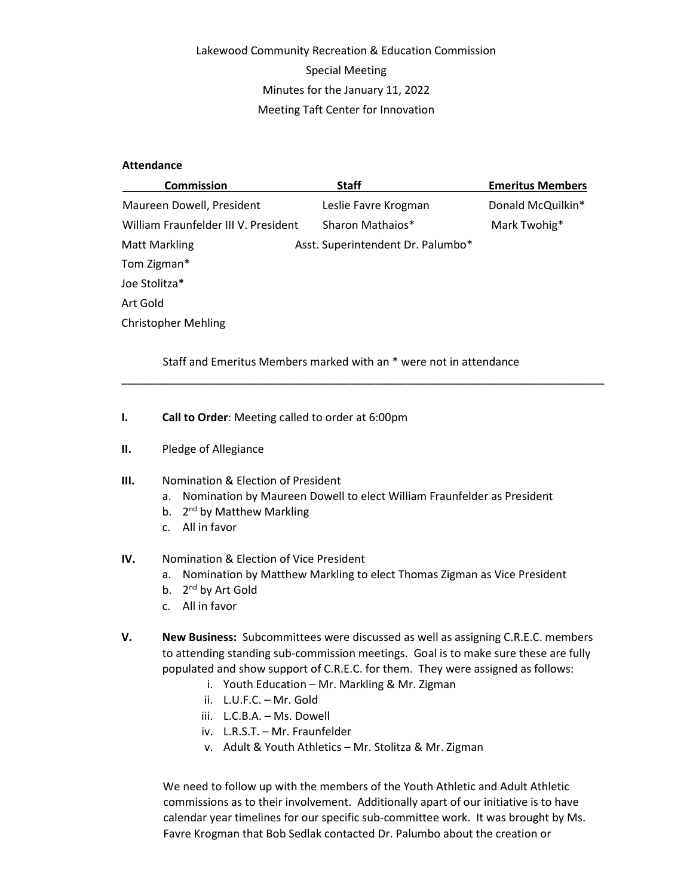# Lakewood Community Recreation & Education Commission Special Meeting Minutes for the January 11, 2022 Meeting Taft Center for Innovation

#### **Attendance**

| <b>Commission</b>                    | <b>Staff</b>                      | <b>Emeritus Members</b> |
|--------------------------------------|-----------------------------------|-------------------------|
| Maureen Dowell, President            | Leslie Favre Krogman              | Donald McQuilkin*       |
| William Fraunfelder III V. President | Sharon Mathaios*                  | Mark Twohig*            |
| <b>Matt Markling</b>                 | Asst. Superintendent Dr. Palumbo* |                         |
| Tom Zigman*                          |                                   |                         |
| Joe Stolitza*                        |                                   |                         |
| Art Gold                             |                                   |                         |
| <b>Christopher Mehling</b>           |                                   |                         |

Staff and Emeritus Members marked with an \* were not in attendance

\_\_\_\_\_\_\_\_\_\_\_\_\_\_\_\_\_\_\_\_\_\_\_\_\_\_\_\_\_\_\_\_\_\_\_\_\_\_\_\_\_\_\_\_\_\_\_\_\_\_\_\_\_\_\_\_\_\_\_\_\_\_\_\_\_\_\_\_\_\_\_\_\_\_\_\_\_\_

- I. Call to Order: Meeting called to order at 6:00pm
- II. Pledge of Allegiance

#### III. Nomination & Election of President

- a. Nomination by Maureen Dowell to elect William Fraunfelder as President
- b. 2<sup>nd</sup> by Matthew Markling
- c. All in favor

## IV. Nomination & Election of Vice President

- a. Nomination by Matthew Markling to elect Thomas Zigman as Vice President
- b. 2<sup>nd</sup> by Art Gold
- c. All in favor
- V. New Business: Subcommittees were discussed as well as assigning C.R.E.C. members to attending standing sub-commission meetings. Goal is to make sure these are fully populated and show support of C.R.E.C. for them. They were assigned as follows:
	- i. Youth Education Mr. Markling & Mr. Zigman
	- ii. L.U.F.C. Mr. Gold
	- iii. L.C.B.A. Ms. Dowell
	- iv. L.R.S.T. Mr. Fraunfelder
	- v. Adult & Youth Athletics Mr. Stolitza & Mr. Zigman

We need to follow up with the members of the Youth Athletic and Adult Athletic commissions as to their involvement. Additionally apart of our initiative is to have calendar year timelines for our specific sub-committee work. It was brought by Ms. Favre Krogman that Bob Sedlak contacted Dr. Palumbo about the creation or